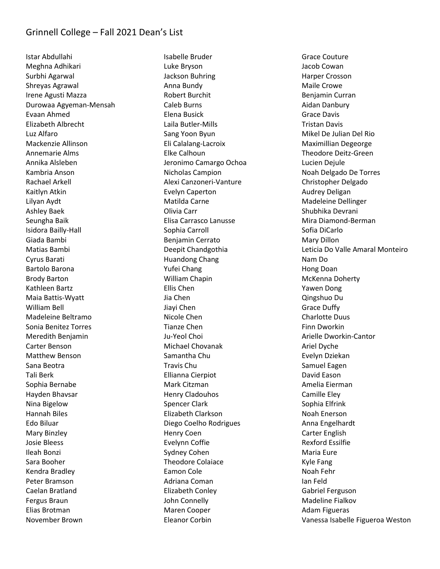Istar Abdullahi Meghna Adhikari Surbhi Agarwal Shreyas Agrawal Irene Agusti Mazza Durowaa Agyeman-Mensah Evaan Ahmed Elizabeth Albrecht Luz Alfaro Mackenzie Allinson Annemarie Alms Annika Alsleben Kambria Anson Rachael Arkell Kaitlyn Atkin Lilyan Aydt Ashley Baek Seungha Baik Isidora Bailly-Hall Giada Bambi Matias Bambi Cyrus Barati Bartolo Barona Brody Barton Kathleen Bartz Maia Battis-Wyatt William Bell Madeleine Beltramo Sonia Benitez Torres Meredith Benjamin Carter Benson Matthew Benson Sana Beotra Tali Berk Sophia Bernabe Hayden Bhavsar Nina Bigelow Hannah Biles Edo Biluar Mary Binzley Josie Bleess Ileah Bonzi Sara Booher Kendra Bradley Peter Bramson Caelan Bratland Fergus Braun Elias Brotman November Brown

Isabelle Bruder Luke Bryson Jackson Buhring Anna Bundy Robert Burchit Caleb Burns Elena Busick Laila Butler-Mills Sang Yoon Byun Eli Calalang-Lacroix Elke Calhoun Jeronimo Camargo Ochoa Nicholas Campion Alexi Canzoneri-Vanture Evelyn Caperton Matilda Carne Olivia Carr Elisa Carrasco Lanusse Sophia Carroll Benjamin Cerrato Deepit Chandgothia Huandong Chang Yufei Chang William Chapin Ellis Chen Jia Chen Jiayi Chen Nicole Chen Tianze Chen Ju-Yeol Choi Michael Chovanak Samantha Chu Travis Chu Ellianna Cierpiot Mark Citzman Henry Cladouhos Spencer Clark Elizabeth Clarkson Diego Coelho Rodrigues Henry Coen Evelynn Coffie Sydney Cohen Theodore Colaiace Eamon Cole Adriana Coman Elizabeth Conley John Connelly Maren Cooper Eleanor Corbin

Grace Couture Jacob Cowan Harper Crosson Maile Crowe Benjamin Curran Aidan Danbury Grace Davis Tristan Davis Mikel De Julian Del Rio Maximillian Degeorge Theodore Deitz-Green Lucien Dejule Noah Delgado De Torres Christopher Delgado Audrey Deligan Madeleine Dellinger Shubhika Devrani Mira Diamond-Berman Sofia DiCarlo Mary Dillon Leticia Do Valle Amaral Monteiro Nam Do Hong Doan McKenna Doherty Yawen Dong Qingshuo Du Grace Duffy Charlotte Duus Finn Dworkin Arielle Dworkin-Cantor Ariel Dyche Evelyn Dziekan Samuel Eagen David Eason Amelia Eierman Camille Eley Sophia Elfrink Noah Enerson Anna Engelhardt Carter English Rexford Essilfie Maria Eure Kyle Fang Noah Fehr Ian Feld Gabriel Ferguson Madeline Fialkov Adam Figueras Vanessa Isabelle Figueroa Weston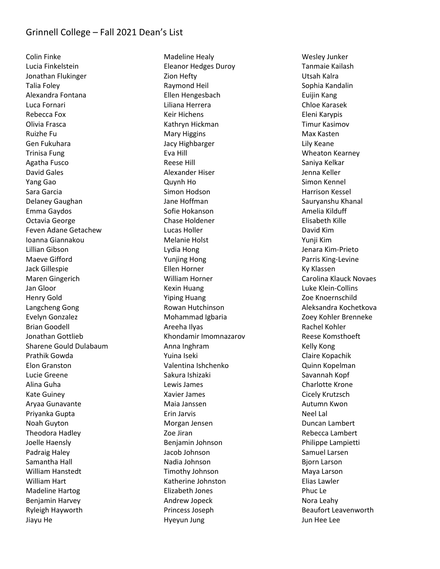Colin Finke Lucia Finkelstein Jonathan Flukinger Talia Foley Alexandra Fontana Luca Fornari Rebecca Fox Olivia Frasca Ruizhe Fu Gen Fukuhara Trinisa Fung Agatha Fusco David Gales Yang Gao Sara Garcia Delaney Gaughan Emma Gaydos Octavia George Feven Adane Getachew Ioanna Giannakou Lillian Gibson Maeve Gifford Jack Gillespie Maren Gingerich Jan Gloor Henry Gold Langcheng Gong Evelyn Gonzalez Brian Goodell Jonathan Gottlieb Sharene Gould Dulabaum Prathik Gowda Elon Granston Lucie Greene Alina Guha Kate Guiney Aryaa Gunavante Priyanka Gupta Noah Guyton Theodora Hadley Joelle Haensly Padraig Haley Samantha Hall William Hanstedt William Hart Madeline Hartog Benjamin Harvey Ryleigh Hayworth Jiayu He

Madeline Healy Eleanor Hedges Duroy Zion Hefty Raymond Heil Ellen Hengesbach Liliana Herrera Keir Hichens Kathryn Hickman Mary Higgins Jacy Highbarger Eva Hill Reese Hill Alexander Hiser Quynh Ho Simon Hodson Jane Hoffman Sofie Hokanson Chase Holdener Lucas Holler Melanie Holst Lydia Hong Yunjing Hong Ellen Horner William Horner Kexin Huang Yiping Huang Rowan Hutchinson Mohammad Igbaria Areeha Ilyas Khondamir Imomnazarov Anna Inghram Yuina Iseki Valentina Ishchenko Sakura Ishizaki Lewis James Xavier James Maia Janssen Erin Jarvis Morgan Jensen Zoe Jiran Benjamin Johnson Jacob Johnson Nadia Johnson Timothy Johnson Katherine Johnston Elizabeth Jones Andrew Jopeck Princess Joseph Hyeyun Jung

Wesley Junker Tanmaie Kailash Utsah Kalra Sophia Kandalin Euijin Kang Chloe Karasek Eleni Karypis Timur Kasimov Max Kasten Lily Keane Wheaton Kearney Saniya Kelkar Jenna Keller Simon Kennel Harrison Kessel Sauryanshu Khanal Amelia Kilduff Elisabeth Kille David Kim Yunji Kim Jenara Kim-Prieto Parris King-Levine Ky Klassen Carolina Klauck Novaes Luke Klein-Collins Zoe Knoernschild Aleksandra Kochetkova Zoey Kohler Brenneke Rachel Kohler Reese Komsthoeft Kelly Kong Claire Kopachik Quinn Kopelman Savannah Kopf Charlotte Krone Cicely Krutzsch Autumn Kwon Neel Lal Duncan Lambert Rebecca Lambert Philippe Lampietti Samuel Larsen Bjorn Larson Maya Larson Elias Lawler Phuc Le Nora Leahy Beaufort Leavenworth Jun Hee Lee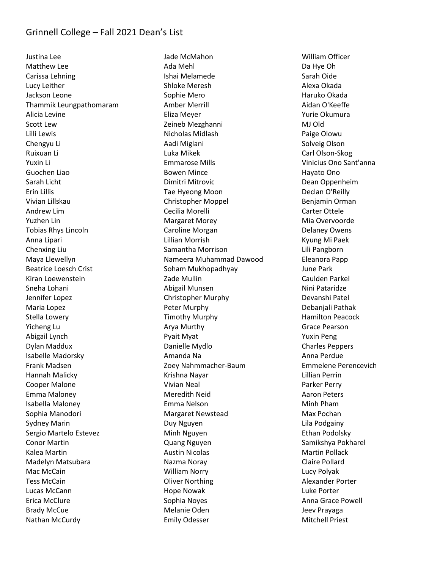Justina Lee Matthew Lee Carissa Lehning Lucy Leither Jackson Leone Thammik Leungpathomaram Alicia Levine Scott Lew Lilli Lewis Chengyu Li Ruixuan Li Yuxin Li Guochen Liao Sarah Licht Erin Lillis Vivian Lillskau Andrew Lim Yuzhen Lin Tobias Rhys Lincoln Anna Lipari Chenxing Liu Maya Llewellyn Beatrice Loesch Crist Kiran Loewenstein Sneha Lohani Jennifer Lopez Maria Lopez Stella Lowery Yicheng Lu Abigail Lynch Dylan Maddux Isabelle Madorsky Frank Madsen Hannah Malicky Cooper Malone Emma Maloney Isabella Maloney Sophia Manodori Sydney Marin Sergio Martelo Estevez Conor Martin Kalea Martin Madelyn Matsubara Mac McCain Tess McCain Lucas McCann Erica McClure Brady McCue Nathan McCurdy

Jade McMahon Ada Mehl Ishai Melamede Shloke Meresh Sophie Mero Amber Merrill Eliza Meyer Zeineb Mezghanni Nicholas Midlash Aadi Miglani Luka Mikek Emmarose Mills Bowen Mince Dimitri Mitrovic Tae Hyeong Moon Christopher Moppel Cecilia Morelli Margaret Morey Caroline Morgan Lillian Morrish Samantha Morrison Nameera Muhammad Dawood Soham Mukhopadhyay Zade Mullin Abigail Munsen Christopher Murphy Peter Murphy Timothy Murphy Arya Murthy Pyait Myat Danielle Mydlo Amanda Na Zoey Nahmmacher-Baum Krishna Nayar Vivian Neal Meredith Neid Emma Nelson Margaret Newstead Duy Nguyen Minh Nguyen Quang Nguyen Austin Nicolas Nazma Noray William Norry Oliver Northing Hope Nowak Sophia Noyes Melanie Oden Emily Odesser

William Officer Da Hye Oh Sarah Oide Alexa Okada Haruko Okada Aidan O'Keeffe Yurie Okumura MJ Old Paige Olowu Solveig Olson Carl Olson-Skog Vinicius Ono Sant'anna Hayato Ono Dean Oppenheim Declan O'Reilly Benjamin Orman Carter Ottele Mia Overvoorde Delaney Owens Kyung Mi Paek Lili Pangborn Eleanora Papp June Park Caulden Parkel Nini Pataridze Devanshi Patel Debanjali Pathak Hamilton Peacock Grace Pearson Yuxin Peng Charles Peppers Anna Perdue Emmelene Perencevich Lillian Perrin Parker Perry Aaron Peters Minh Pham Max Pochan Lila Podgainy Ethan Podolsky Samikshya Pokharel Martin Pollack Claire Pollard Lucy Polyak Alexander Porter Luke Porter Anna Grace Powell Jeev Prayaga Mitchell Priest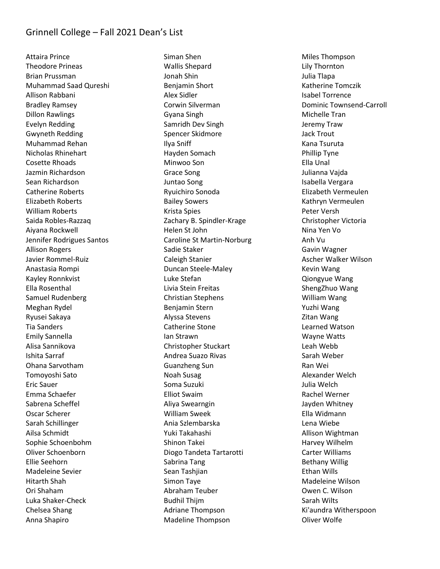Attaira Prince Theodore Prineas Brian Prussman Muhammad Saad Qureshi Allison Rabbani Bradley Ramsey Dillon Rawlings Evelyn Redding Gwyneth Redding Muhammad Rehan Nicholas Rhinehart Cosette Rhoads Jazmin Richardson Sean Richardson Catherine Roberts Elizabeth Roberts William Roberts Saida Robles-Razzaq Aiyana Rockwell Jennifer Rodrigues Santos Allison Rogers Javier Rommel-Ruiz Anastasia Rompi Kayley Ronnkvist Ella Rosenthal Samuel Rudenberg Meghan Rydel Ryusei Sakaya Tia Sanders Emily Sannella Alisa Sannikova Ishita Sarraf Ohana Sarvotham Tomoyoshi Sato Eric Sauer Emma Schaefer Sabrena Scheffel Oscar Scherer Sarah Schillinger Ailsa Schmidt Sophie Schoenbohm Oliver Schoenborn Ellie Seehorn Madeleine Sevier Hitarth Shah Ori Shaham Luka Shaker-Check Chelsea Shang Anna Shapiro

Siman Shen Wallis Shepard Jonah Shin Benjamin Short Alex Sidler Corwin Silverman Gyana Singh Samridh Dev Singh Spencer Skidmore Ilya Sniff Hayden Somach Minwoo Son Grace Song Juntao Song Ryuichiro Sonoda Bailey Sowers Krista Spies Zachary B. Spindler-Krage Helen St John Caroline St Martin-Norburg Sadie Staker Caleigh Stanier Duncan Steele-Maley Luke Stefan Livia Stein Freitas Christian Stephens Benjamin Stern Alyssa Stevens Catherine Stone Ian Strawn Christopher Stuckart Andrea Suazo Rivas Guanzheng Sun Noah Susag Soma Suzuki Elliot Swaim Aliya Swearngin William Sweek Ania Szlembarska Yuki Takahashi Shinon Takei Diogo Tandeta Tartarotti Sabrina Tang Sean Tashjian Simon Taye Abraham Teuber Budhil Thijm Adriane Thompson Madeline Thompson

Miles Thompson Lily Thornton Julia Tlapa Katherine Tomczik Isabel Torrence Dominic Townsend-Carroll Michelle Tran Jeremy Traw Jack Trout Kana Tsuruta Phillip Tyne Ella Unal Julianna Vajda Isabella Vergara Elizabeth Vermeulen Kathryn Vermeulen Peter Versh Christopher Victoria Nina Yen Vo Anh Vu Gavin Wagner Ascher Walker Wilson Kevin Wang Qiongyue Wang ShengZhuo Wang William Wang Yuzhi Wang Zitan Wang Learned Watson Wayne Watts Leah Webb Sarah Weber Ran Wei Alexander Welch Julia Welch Rachel Werner Jayden Whitney Ella Widmann Lena Wiebe Allison Wightman Harvey Wilhelm Carter Williams Bethany Willig Ethan Wills Madeleine Wilson Owen C. Wilson Sarah Wilts Ki'aundra Witherspoon Oliver Wolfe